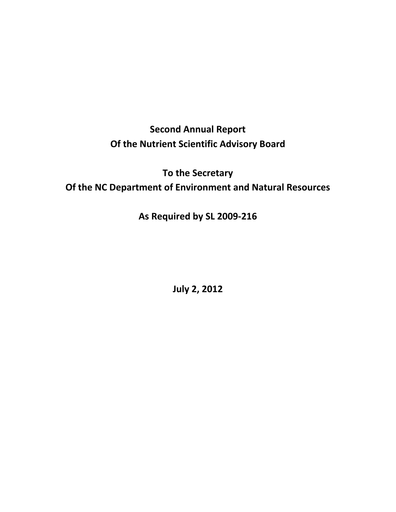**Second Annual Report Of the Nutrient Scientific Advisory Board** 

**To the Secretary Of the NC Department of Environment and Natural Resources**

**As Required by SL 2009‐216**

**July 2, 2012**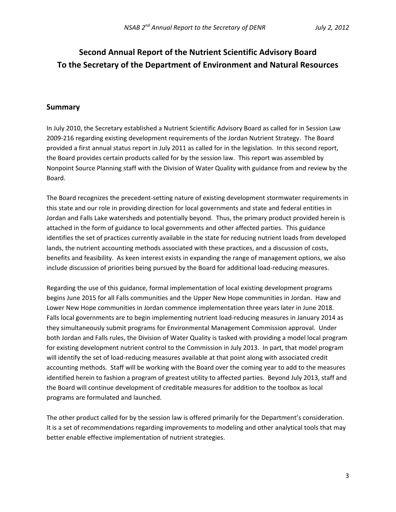# **Second Annual Report of the Nutrient Scientific Advisory Board To the Secretary of the Department of Environment and Natural Resources**

#### **Summary**

In July 2010, the Secretary established a Nutrient Scientific Advisory Board as called for in Session Law 2009‐216 regarding existing development requirements of the Jordan Nutrient Strategy. The Board provided a first annual status report in July 2011 as called for in the legislation. In this second report, the Board provides certain products called for by the session law. This report was assembled by Nonpoint Source Planning staff with the Division of Water Quality with guidance from and review by the Board.

The Board recognizes the precedent‐setting nature of existing development stormwater requirements in this state and our role in providing direction for local governments and state and federal entities in Jordan and Falls Lake watersheds and potentially beyond. Thus, the primary product provided herein is attached in the form of guidance to local governments and other affected parties. This guidance identifies the set of practices currently available in the state for reducing nutrient loads from developed lands, the nutrient accounting methods associated with these practices, and a discussion of costs, benefits and feasibility. As keen interest exists in expanding the range of management options, we also include discussion of priorities being pursued by the Board for additional load‐reducing measures.

Regarding the use of this guidance, formal implementation of local existing development programs begins June 2015 for all Falls communities and the Upper New Hope communities in Jordan. Haw and Lower New Hope communities in Jordan commence implementation three years later in June 2018. Falls local governments are to begin implementing nutrient load-reducing measures in January 2014 as they simultaneously submit programs for Environmental Management Commission approval. Under both Jordan and Falls rules, the Division of Water Quality is tasked with providing a model local program for existing development nutrient control to the Commission in July 2013. In part, that model program will identify the set of load‐reducing measures available at that point along with associated credit accounting methods. Staff will be working with the Board over the coming year to add to the measures identified herein to fashion a program of greatest utility to affected parties. Beyond July 2013, staff and the Board will continue development of creditable measures for addition to the toolbox as local programs are formulated and launched.

The other product called for by the session law is offered primarily for the Department's consideration. It is a set of recommendations regarding improvements to modeling and other analytical tools that may better enable effective implementation of nutrient strategies.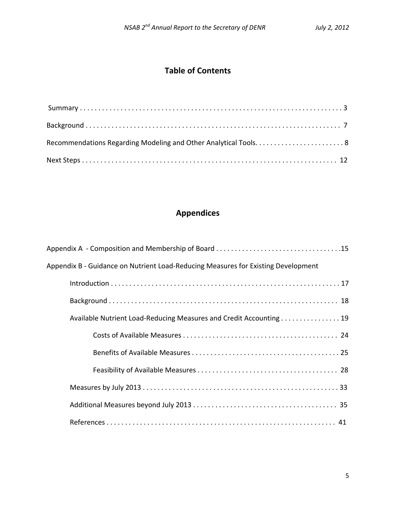# **Table of Contents**

# **Appendices**

| Appendix B - Guidance on Nutrient Load-Reducing Measures for Existing Development |
|-----------------------------------------------------------------------------------|
|                                                                                   |
|                                                                                   |
| Available Nutrient Load-Reducing Measures and Credit Accounting 19                |
|                                                                                   |
|                                                                                   |
|                                                                                   |
|                                                                                   |
|                                                                                   |
|                                                                                   |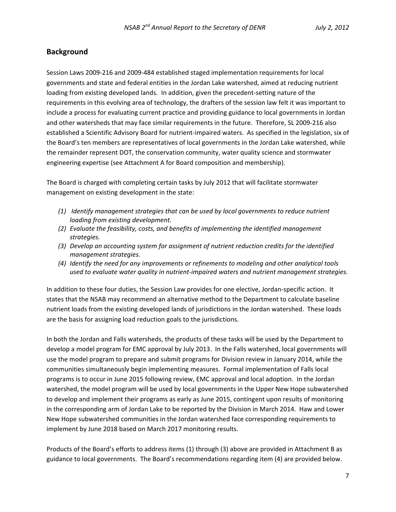### **Background**

Session Laws 2009‐216 and 2009‐484 established staged implementation requirements for local governments and state and federal entities in the Jordan Lake watershed, aimed at reducing nutrient loading from existing developed lands. In addition, given the precedent‐setting nature of the requirements in this evolving area of technology, the drafters of the session law felt it was important to include a process for evaluating current practice and providing guidance to local governments in Jordan and other watersheds that may face similar requirements in the future. Therefore, SL 2009‐216 also established a Scientific Advisory Board for nutrient‐impaired waters. As specified in the legislation, six of the Board's ten members are representatives of local governments in the Jordan Lake watershed, while the remainder represent DOT, the conservation community, water quality science and stormwater engineering expertise (see Attachment A for Board composition and membership).

The Board is charged with completing certain tasks by July 2012 that will facilitate stormwater management on existing development in the state:

- *(1) Identify management strategies that can be used by local governments to reduce nutrient loading from existing development.*
- *(2) Evaluate the feasibility, costs, and benefits of implementing the identified management strategies.*
- *(3) Develop an accounting system for assignment of nutrient reduction credits for the identified management strategies.*
- *(4) Identify the need for any improvements or refinements to modeling and other analytical tools used to evaluate water quality in nutrient‐impaired waters and nutrient management strategies.*

In addition to these four duties, the Session Law provides for one elective, Jordan‐specific action. It states that the NSAB may recommend an alternative method to the Department to calculate baseline nutrient loads from the existing developed lands of jurisdictions in the Jordan watershed. These loads are the basis for assigning load reduction goals to the jurisdictions.

In both the Jordan and Falls watersheds, the products of these tasks will be used by the Department to develop a model program for EMC approval by July 2013. In the Falls watershed, local governments will use the model program to prepare and submit programs for Division review in January 2014, while the communities simultaneously begin implementing measures. Formal implementation of Falls local programs is to occur in June 2015 following review, EMC approval and local adoption. In the Jordan watershed, the model program will be used by local governments in the Upper New Hope subwatershed to develop and implement their programs as early as June 2015, contingent upon results of monitoring in the corresponding arm of Jordan Lake to be reported by the Division in March 2014. Haw and Lower New Hope subwatershed communities in the Jordan watershed face corresponding requirements to implement by June 2018 based on March 2017 monitoring results.

Products of the Board's efforts to address items (1) through (3) above are provided in Attachment B as guidance to local governments. The Board's recommendations regarding item (4) are provided below.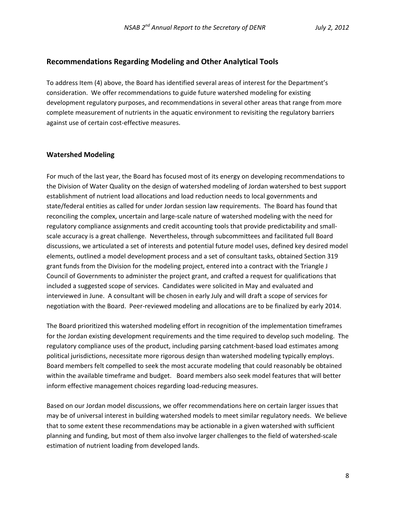#### **Recommendations Regarding Modeling and Other Analytical Tools**

To address Item (4) above, the Board has identified several areas of interest for the Department's consideration. We offer recommendations to guide future watershed modeling for existing development regulatory purposes, and recommendations in several other areas that range from more complete measurement of nutrients in the aquatic environment to revisiting the regulatory barriers against use of certain cost‐effective measures.

#### **Watershed Modeling**

For much of the last year, the Board has focused most of its energy on developing recommendations to the Division of Water Quality on the design of watershed modeling of Jordan watershed to best support establishment of nutrient load allocations and load reduction needs to local governments and state/federal entities as called for under Jordan session law requirements. The Board has found that reconciling the complex, uncertain and large‐scale nature of watershed modeling with the need for regulatory compliance assignments and credit accounting tools that provide predictability and small‐ scale accuracy is a great challenge. Nevertheless, through subcommittees and facilitated full Board discussions, we articulated a set of interests and potential future model uses, defined key desired model elements, outlined a model development process and a set of consultant tasks, obtained Section 319 grant funds from the Division for the modeling project, entered into a contract with the Triangle J Council of Governments to administer the project grant, and crafted a request for qualifications that included a suggested scope of services. Candidates were solicited in May and evaluated and interviewed in June. A consultant will be chosen in early July and will draft a scope of services for negotiation with the Board. Peer‐reviewed modeling and allocations are to be finalized by early 2014.

The Board prioritized this watershed modeling effort in recognition of the implementation timeframes for the Jordan existing development requirements and the time required to develop such modeling. The regulatory compliance uses of the product, including parsing catchment‐based load estimates among political jurisdictions, necessitate more rigorous design than watershed modeling typically employs. Board members felt compelled to seek the most accurate modeling that could reasonably be obtained within the available timeframe and budget. Board members also seek model features that will better inform effective management choices regarding load‐reducing measures.

Based on our Jordan model discussions, we offer recommendations here on certain larger issues that may be of universal interest in building watershed models to meet similar regulatory needs. We believe that to some extent these recommendations may be actionable in a given watershed with sufficient planning and funding, but most of them also involve larger challenges to the field of watershed‐scale estimation of nutrient loading from developed lands.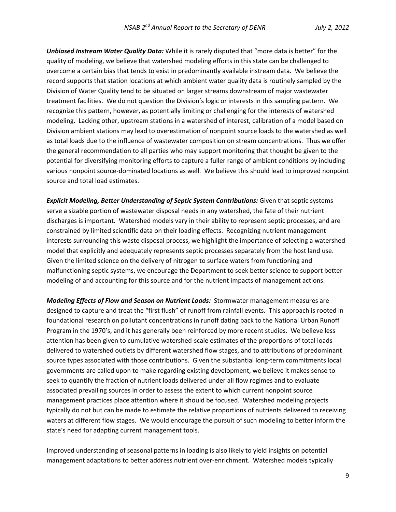*Unbiased Instream Water Quality Data:* While it is rarely disputed that "more data is better" for the quality of modeling, we believe that watershed modeling efforts in this state can be challenged to overcome a certain bias that tends to exist in predominantly available instream data. We believe the record supports that station locations at which ambient water quality data is routinely sampled by the Division of Water Quality tend to be situated on larger streams downstream of major wastewater treatment facilities. We do not question the Division's logic or interests in this sampling pattern. We recognize this pattern, however, as potentially limiting or challenging for the interests of watershed modeling. Lacking other, upstream stations in a watershed of interest, calibration of a model based on Division ambient stations may lead to overestimation of nonpoint source loads to the watershed as well as total loads due to the influence of wastewater composition on stream concentrations. Thus we offer the general recommendation to all parties who may support monitoring that thought be given to the potential for diversifying monitoring efforts to capture a fuller range of ambient conditions by including various nonpoint source‐dominated locations as well. We believe this should lead to improved nonpoint source and total load estimates.

*Explicit Modeling, Better Understanding of Septic System Contributions:* Given that septic systems serve a sizable portion of wastewater disposal needs in any watershed, the fate of their nutrient discharges is important. Watershed models vary in their ability to represent septic processes, and are constrained by limited scientific data on their loading effects. Recognizing nutrient management interests surrounding this waste disposal process, we highlight the importance of selecting a watershed model that explicitly and adequately represents septic processes separately from the host land use. Given the limited science on the delivery of nitrogen to surface waters from functioning and malfunctioning septic systems, we encourage the Department to seek better science to support better modeling of and accounting for this source and for the nutrient impacts of management actions.

*Modeling Effects of Flow and Season on Nutrient Loads:* Stormwater management measures are designed to capture and treat the "first flush" of runoff from rainfall events. This approach is rooted in foundational research on pollutant concentrations in runoff dating back to the National Urban Runoff Program in the 1970's, and it has generally been reinforced by more recent studies. We believe less attention has been given to cumulative watershed‐scale estimates of the proportions of total loads delivered to watershed outlets by different watershed flow stages, and to attributions of predominant source types associated with those contributions. Given the substantial long-term commitments local governments are called upon to make regarding existing development, we believe it makes sense to seek to quantify the fraction of nutrient loads delivered under all flow regimes and to evaluate associated prevailing sources in order to assess the extent to which current nonpoint source management practices place attention where it should be focused. Watershed modeling projects typically do not but can be made to estimate the relative proportions of nutrients delivered to receiving waters at different flow stages. We would encourage the pursuit of such modeling to better inform the state's need for adapting current management tools.

Improved understanding of seasonal patterns in loading is also likely to yield insights on potential management adaptations to better address nutrient over‐enrichment. Watershed models typically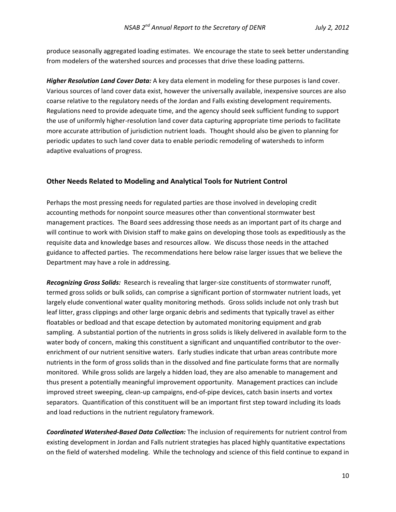produce seasonally aggregated loading estimates. We encourage the state to seek better understanding from modelers of the watershed sources and processes that drive these loading patterns.

*Higher Resolution Land Cover Data:* A key data element in modeling for these purposes is land cover. Various sources of land cover data exist, however the universally available, inexpensive sources are also coarse relative to the regulatory needs of the Jordan and Falls existing development requirements. Regulations need to provide adequate time, and the agency should seek sufficient funding to support the use of uniformly higher-resolution land cover data capturing appropriate time periods to facilitate more accurate attribution of jurisdiction nutrient loads. Thought should also be given to planning for periodic updates to such land cover data to enable periodic remodeling of watersheds to inform adaptive evaluations of progress.

#### **Other Needs Related to Modeling and Analytical Tools for Nutrient Control**

Perhaps the most pressing needs for regulated parties are those involved in developing credit accounting methods for nonpoint source measures other than conventional stormwater best management practices. The Board sees addressing those needs as an important part of its charge and will continue to work with Division staff to make gains on developing those tools as expeditiously as the requisite data and knowledge bases and resources allow. We discuss those needs in the attached guidance to affected parties. The recommendations here below raise larger issues that we believe the Department may have a role in addressing.

*Recognizing Gross Solids:* Research is revealing that larger‐size constituents of stormwater runoff, termed gross solids or bulk solids, can comprise a significant portion of stormwater nutrient loads, yet largely elude conventional water quality monitoring methods. Gross solids include not only trash but leaf litter, grass clippings and other large organic debris and sediments that typically travel as either floatables or bedload and that escape detection by automated monitoring equipment and grab sampling. A substantial portion of the nutrients in gross solids is likely delivered in available form to the water body of concern, making this constituent a significant and unquantified contributor to the over‐ enrichment of our nutrient sensitive waters. Early studies indicate that urban areas contribute more nutrients in the form of gross solids than in the dissolved and fine particulate forms that are normally monitored. While gross solids are largely a hidden load, they are also amenable to management and thus present a potentially meaningful improvement opportunity. Management practices can include improved street sweeping, clean‐up campaigns, end‐of‐pipe devices, catch basin inserts and vortex separators. Quantification of this constituent will be an important first step toward including its loads and load reductions in the nutrient regulatory framework.

*Coordinated Watershed‐Based Data Collection:* The inclusion of requirements for nutrient control from existing development in Jordan and Falls nutrient strategies has placed highly quantitative expectations on the field of watershed modeling. While the technology and science of this field continue to expand in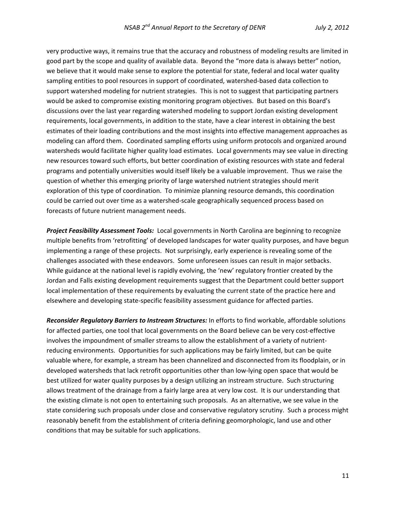very productive ways, it remains true that the accuracy and robustness of modeling results are limited in good part by the scope and quality of available data. Beyond the "more data is always better" notion, we believe that it would make sense to explore the potential for state, federal and local water quality sampling entities to pool resources in support of coordinated, watershed-based data collection to support watershed modeling for nutrient strategies. This is not to suggest that participating partners would be asked to compromise existing monitoring program objectives. But based on this Board's discussions over the last year regarding watershed modeling to support Jordan existing development requirements, local governments, in addition to the state, have a clear interest in obtaining the best estimates of their loading contributions and the most insights into effective management approaches as modeling can afford them. Coordinated sampling efforts using uniform protocols and organized around watersheds would facilitate higher quality load estimates. Local governments may see value in directing new resources toward such efforts, but better coordination of existing resources with state and federal programs and potentially universities would itself likely be a valuable improvement. Thus we raise the question of whether this emerging priority of large watershed nutrient strategies should merit exploration of this type of coordination. To minimize planning resource demands, this coordination could be carried out over time as a watershed-scale geographically sequenced process based on forecasts of future nutrient management needs.

*Project Feasibility Assessment Tools:* Local governments in North Carolina are beginning to recognize multiple benefits from 'retrofitting' of developed landscapes for water quality purposes, and have begun implementing a range of these projects. Not surprisingly, early experience is revealing some of the challenges associated with these endeavors. Some unforeseen issues can result in major setbacks. While guidance at the national level is rapidly evolving, the 'new' regulatory frontier created by the Jordan and Falls existing development requirements suggest that the Department could better support local implementation of these requirements by evaluating the current state of the practice here and elsewhere and developing state‐specific feasibility assessment guidance for affected parties.

*Reconsider Regulatory Barriers to Instream Structures:* In efforts to find workable, affordable solutions for affected parties, one tool that local governments on the Board believe can be very cost-effective involves the impoundment of smaller streams to allow the establishment of a variety of nutrientreducing environments. Opportunities for such applications may be fairly limited, but can be quite valuable where, for example, a stream has been channelized and disconnected from its floodplain, or in developed watersheds that lack retrofit opportunities other than low‐lying open space that would be best utilized for water quality purposes by a design utilizing an instream structure. Such structuring allows treatment of the drainage from a fairly large area at very low cost. It is our understanding that the existing climate is not open to entertaining such proposals. As an alternative, we see value in the state considering such proposals under close and conservative regulatory scrutiny. Such a process might reasonably benefit from the establishment of criteria defining geomorphologic, land use and other conditions that may be suitable for such applications.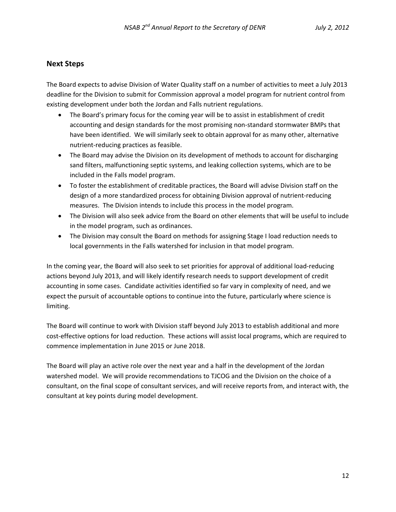#### **Next Steps**

The Board expects to advise Division of Water Quality staff on a number of activities to meet a July 2013 deadline for the Division to submit for Commission approval a model program for nutrient control from existing development under both the Jordan and Falls nutrient regulations.

- The Board's primary focus for the coming year will be to assist in establishment of credit accounting and design standards for the most promising non‐standard stormwater BMPs that have been identified. We will similarly seek to obtain approval for as many other, alternative nutrient‐reducing practices as feasible.
- The Board may advise the Division on its development of methods to account for discharging sand filters, malfunctioning septic systems, and leaking collection systems, which are to be included in the Falls model program.
- To foster the establishment of creditable practices, the Board will advise Division staff on the design of a more standardized process for obtaining Division approval of nutrient‐reducing measures. The Division intends to include this process in the model program.
- The Division will also seek advice from the Board on other elements that will be useful to include in the model program, such as ordinances.
- The Division may consult the Board on methods for assigning Stage I load reduction needs to local governments in the Falls watershed for inclusion in that model program.

In the coming year, the Board will also seek to set priorities for approval of additional load‐reducing actions beyond July 2013, and will likely identify research needs to support development of credit accounting in some cases. Candidate activities identified so far vary in complexity of need, and we expect the pursuit of accountable options to continue into the future, particularly where science is limiting.

The Board will continue to work with Division staff beyond July 2013 to establish additional and more cost‐effective options for load reduction. These actions will assist local programs, which are required to commence implementation in June 2015 or June 2018.

The Board will play an active role over the next year and a half in the development of the Jordan watershed model. We will provide recommendations to TJCOG and the Division on the choice of a consultant, on the final scope of consultant services, and will receive reports from, and interact with, the consultant at key points during model development.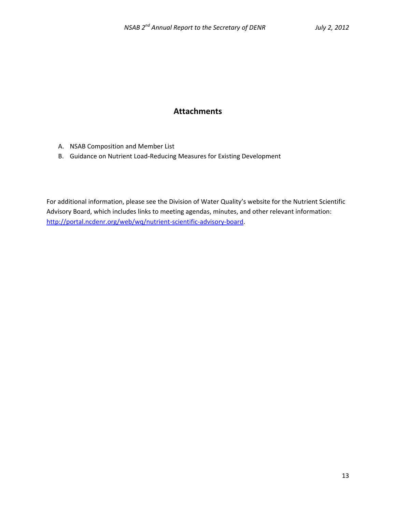### **Attachments**

- A. NSAB Composition and Member List
- B. Guidance on Nutrient Load‐Reducing Measures for Existing Development

For additional information, please see the Division of Water Quality's website for the Nutrient Scientific Advisory Board, which includes links to meeting agendas, minutes, and other relevant information: http://portal.ncdenr.org/web/wq/nutrient-scientific-advisory-board.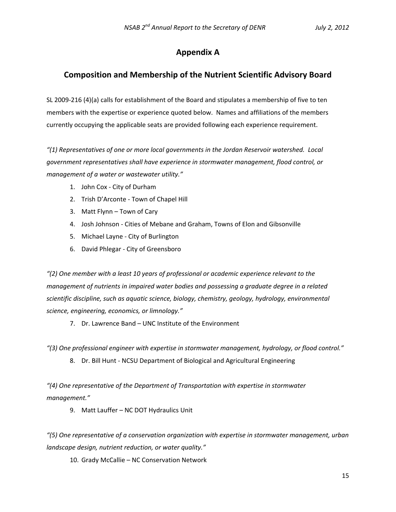### **Appendix A**

### **Composition and Membership of the Nutrient Scientific Advisory Board**

SL 2009‐216 (4)(a) calls for establishment of the Board and stipulates a membership of five to ten members with the expertise or experience quoted below. Names and affiliations of the members currently occupying the applicable seats are provided following each experience requirement.

*"(1) Representatives of one or more local governments in the Jordan Reservoir watershed. Local government representatives shall have experience in stormwater management, flood control, or management of a water or wastewater utility."*

- 1. John Cox ‐ City of Durham
- 2. Trish D'Arconte ‐ Town of Chapel Hill
- 3. Matt Flynn Town of Cary
- 4. Josh Johnson ‐ Cities of Mebane and Graham, Towns of Elon and Gibsonville
- 5. Michael Layne ‐ City of Burlington
- 6. David Phlegar ‐ City of Greensboro

*"(2) One member with a least 10 years of professional or academic experience relevant to the management of nutrients in impaired water bodies and possessing a graduate degree in a related scientific discipline, such as aquatic science, biology, chemistry, geology, hydrology, environmental science, engineering, economics, or limnology."*

7. Dr. Lawrence Band – UNC Institute of the Environment

*"(3) One professional engineer with expertise in stormwater management, hydrology, or flood control."*

8. Dr. Bill Hunt ‐ NCSU Department of Biological and Agricultural Engineering

*"(4) One representative of the Department of Transportation with expertise in stormwater management."*

9. Matt Lauffer – NC DOT Hydraulics Unit

*"(5) One representative of a conservation organization with expertise in stormwater management, urban landscape design, nutrient reduction, or water quality."*

10. Grady McCallie – NC Conservation Network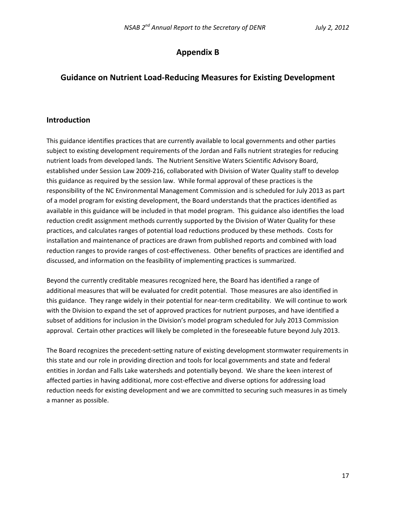### **Appendix B**

### **Guidance on Nutrient Load‐Reducing Measures for Existing Development**

#### **Introduction**

This guidance identifies practices that are currently available to local governments and other parties subject to existing development requirements of the Jordan and Falls nutrient strategies for reducing nutrient loads from developed lands. The Nutrient Sensitive Waters Scientific Advisory Board, established under Session Law 2009‐216, collaborated with Division of Water Quality staff to develop this guidance as required by the session law. While formal approval of these practices is the responsibility of the NC Environmental Management Commission and is scheduled for July 2013 as part of a model program for existing development, the Board understands that the practices identified as available in this guidance will be included in that model program. This guidance also identifies the load reduction credit assignment methods currently supported by the Division of Water Quality for these practices, and calculates ranges of potential load reductions produced by these methods. Costs for installation and maintenance of practices are drawn from published reports and combined with load reduction ranges to provide ranges of cost‐effectiveness. Other benefits of practices are identified and discussed, and information on the feasibility of implementing practices is summarized.

Beyond the currently creditable measures recognized here, the Board has identified a range of additional measures that will be evaluated for credit potential. Those measures are also identified in this guidance. They range widely in their potential for near‐term creditability. We will continue to work with the Division to expand the set of approved practices for nutrient purposes, and have identified a subset of additions for inclusion in the Division's model program scheduled for July 2013 Commission approval. Certain other practices will likely be completed in the foreseeable future beyond July 2013.

The Board recognizes the precedent‐setting nature of existing development stormwater requirements in this state and our role in providing direction and tools for local governments and state and federal entities in Jordan and Falls Lake watersheds and potentially beyond. We share the keen interest of affected parties in having additional, more cost‐effective and diverse options for addressing load reduction needs for existing development and we are committed to securing such measures in as timely a manner as possible.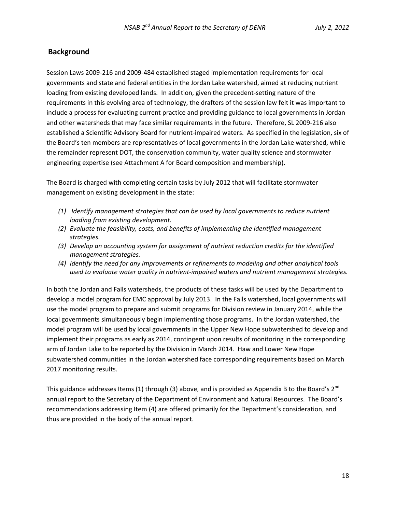#### **Background**

Session Laws 2009‐216 and 2009‐484 established staged implementation requirements for local governments and state and federal entities in the Jordan Lake watershed, aimed at reducing nutrient loading from existing developed lands. In addition, given the precedent‐setting nature of the requirements in this evolving area of technology, the drafters of the session law felt it was important to include a process for evaluating current practice and providing guidance to local governments in Jordan and other watersheds that may face similar requirements in the future. Therefore, SL 2009‐216 also established a Scientific Advisory Board for nutrient‐impaired waters. As specified in the legislation, six of the Board's ten members are representatives of local governments in the Jordan Lake watershed, while the remainder represent DOT, the conservation community, water quality science and stormwater engineering expertise (see Attachment A for Board composition and membership).

The Board is charged with completing certain tasks by July 2012 that will facilitate stormwater management on existing development in the state:

- *(1) Identify management strategies that can be used by local governments to reduce nutrient loading from existing development.*
- *(2) Evaluate the feasibility, costs, and benefits of implementing the identified management strategies.*
- *(3) Develop an accounting system for assignment of nutrient reduction credits for the identified management strategies.*
- *(4) Identify the need for any improvements or refinements to modeling and other analytical tools used to evaluate water quality in nutrient‐impaired waters and nutrient management strategies.*

In both the Jordan and Falls watersheds, the products of these tasks will be used by the Department to develop a model program for EMC approval by July 2013. In the Falls watershed, local governments will use the model program to prepare and submit programs for Division review in January 2014, while the local governments simultaneously begin implementing those programs. In the Jordan watershed, the model program will be used by local governments in the Upper New Hope subwatershed to develop and implement their programs as early as 2014, contingent upon results of monitoring in the corresponding arm of Jordan Lake to be reported by the Division in March 2014. Haw and Lower New Hope subwatershed communities in the Jordan watershed face corresponding requirements based on March 2017 monitoring results.

This guidance addresses Items (1) through (3) above, and is provided as Appendix B to the Board's  $2^{nd}$ annual report to the Secretary of the Department of Environment and Natural Resources. The Board's recommendations addressing Item (4) are offered primarily for the Department's consideration, and thus are provided in the body of the annual report.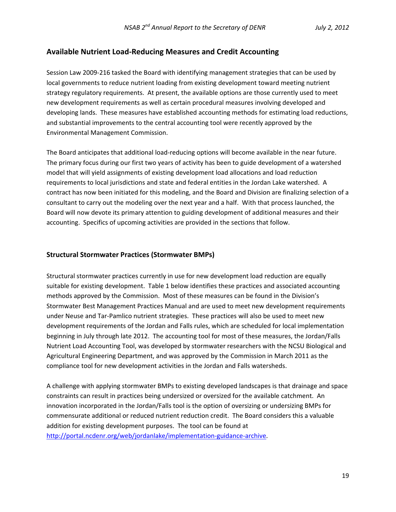#### **Available Nutrient Load‐Reducing Measures and Credit Accounting**

Session Law 2009‐216 tasked the Board with identifying management strategies that can be used by local governments to reduce nutrient loading from existing development toward meeting nutrient strategy regulatory requirements. At present, the available options are those currently used to meet new development requirements as well as certain procedural measures involving developed and developing lands. These measures have established accounting methods for estimating load reductions, and substantial improvements to the central accounting tool were recently approved by the Environmental Management Commission.

The Board anticipates that additional load‐reducing options will become available in the near future. The primary focus during our first two years of activity has been to guide development of a watershed model that will yield assignments of existing development load allocations and load reduction requirements to local jurisdictions and state and federal entities in the Jordan Lake watershed. A contract has now been initiated for this modeling, and the Board and Division are finalizing selection of a consultant to carry out the modeling over the next year and a half. With that process launched, the Board will now devote its primary attention to guiding development of additional measures and their accounting. Specifics of upcoming activities are provided in the sections that follow.

#### **Structural Stormwater Practices (Stormwater BMPs)**

Structural stormwater practices currently in use for new development load reduction are equally suitable for existing development. Table 1 below identifies these practices and associated accounting methods approved by the Commission. Most of these measures can be found in the Division's Stormwater Best Management Practices Manual and are used to meet new development requirements under Neuse and Tar‐Pamlico nutrient strategies. These practices will also be used to meet new development requirements of the Jordan and Falls rules, which are scheduled for local implementation beginning in July through late 2012. The accounting tool for most of these measures, the Jordan/Falls Nutrient Load Accounting Tool, was developed by stormwater researchers with the NCSU Biological and Agricultural Engineering Department, and was approved by the Commission in March 2011 as the compliance tool for new development activities in the Jordan and Falls watersheds.

A challenge with applying stormwater BMPs to existing developed landscapes is that drainage and space constraints can result in practices being undersized or oversized for the available catchment. An innovation incorporated in the Jordan/Falls tool is the option of oversizing or undersizing BMPs for commensurate additional or reduced nutrient reduction credit. The Board considers this a valuable addition for existing development purposes. The tool can be found at http://portal.ncdenr.org/web/jordanlake/implementation-guidance-archive.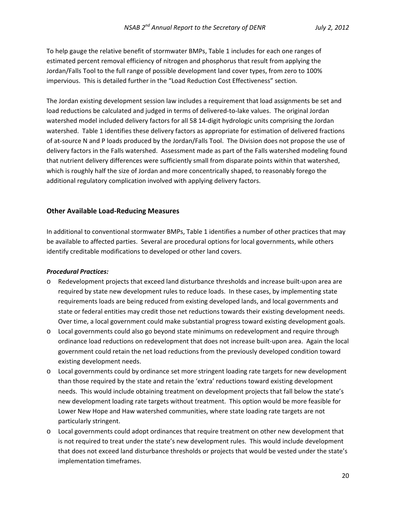To help gauge the relative benefit of stormwater BMPs, Table 1 includes for each one ranges of estimated percent removal efficiency of nitrogen and phosphorus that result from applying the Jordan/Falls Tool to the full range of possible development land cover types, from zero to 100% impervious. This is detailed further in the "Load Reduction Cost Effectiveness" section.

The Jordan existing development session law includes a requirement that load assignments be set and load reductions be calculated and judged in terms of delivered‐to‐lake values. The original Jordan watershed model included delivery factors for all 58 14‐digit hydrologic units comprising the Jordan watershed. Table 1 identifies these delivery factors as appropriate for estimation of delivered fractions of at‐source N and P loads produced by the Jordan/Falls Tool. The Division does not propose the use of delivery factors in the Falls watershed. Assessment made as part of the Falls watershed modeling found that nutrient delivery differences were sufficiently small from disparate points within that watershed, which is roughly half the size of Jordan and more concentrically shaped, to reasonably forego the additional regulatory complication involved with applying delivery factors.

#### **Other Available Load‐Reducing Measures**

In additional to conventional stormwater BMPs, Table 1 identifies a number of other practices that may be available to affected parties. Several are procedural options for local governments, while others identify creditable modifications to developed or other land covers.

#### *Procedural Practices:*

- o Redevelopment projects that exceed land disturbance thresholds and increase built‐upon area are required by state new development rules to reduce loads. In these cases, by implementing state requirements loads are being reduced from existing developed lands, and local governments and state or federal entities may credit those net reductions towards their existing development needs. Over time, a local government could make substantial progress toward existing development goals.
- o Local governments could also go beyond state minimums on redevelopment and require through ordinance load reductions on redevelopment that does not increase built‐upon area. Again the local government could retain the net load reductions from the previously developed condition toward existing development needs.
- o Local governments could by ordinance set more stringent loading rate targets for new development than those required by the state and retain the 'extra' reductions toward existing development needs. This would include obtaining treatment on development projects that fall below the state's new development loading rate targets without treatment. This option would be more feasible for Lower New Hope and Haw watershed communities, where state loading rate targets are not particularly stringent.
- o Local governments could adopt ordinances that require treatment on other new development that is not required to treat under the state's new development rules. This would include development that does not exceed land disturbance thresholds or projects that would be vested under the state's implementation timeframes.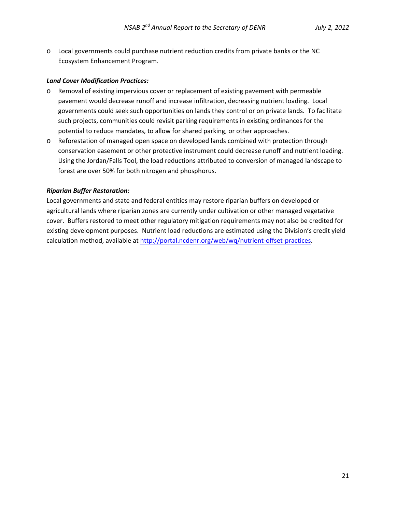o Local governments could purchase nutrient reduction credits from private banks or the NC Ecosystem Enhancement Program.

#### *Land Cover Modification Practices:*

- o Removal of existing impervious cover or replacement of existing pavement with permeable pavement would decrease runoff and increase infiltration, decreasing nutrient loading. Local governments could seek such opportunities on lands they control or on private lands. To facilitate such projects, communities could revisit parking requirements in existing ordinances for the potential to reduce mandates, to allow for shared parking, or other approaches.
- o Reforestation of managed open space on developed lands combined with protection through conservation easement or other protective instrument could decrease runoff and nutrient loading. Using the Jordan/Falls Tool, the load reductions attributed to conversion of managed landscape to forest are over 50% for both nitrogen and phosphorus.

#### *Riparian Buffer Restoration:*

Local governments and state and federal entities may restore riparian buffers on developed or agricultural lands where riparian zones are currently under cultivation or other managed vegetative cover. Buffers restored to meet other regulatory mitigation requirements may not also be credited for existing development purposes. Nutrient load reductions are estimated using the Division's credit yield calculation method, available at http://portal.ncdenr.org/web/wq/nutrient‐offset‐practices.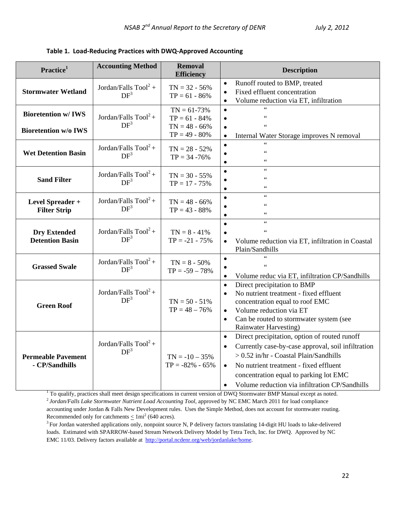|  | Table 1. Load-Reducing Practices with DWQ-Approved Accounting |  |  |  |  |
|--|---------------------------------------------------------------|--|--|--|--|
|--|---------------------------------------------------------------|--|--|--|--|

| Practice <sup>1</sup>                                    | <b>Accounting Method</b>                  | <b>Removal</b><br><b>Efficiency</b>                                     | <b>Description</b>                                                                                                                                                                                                                                                                                                                      |
|----------------------------------------------------------|-------------------------------------------|-------------------------------------------------------------------------|-----------------------------------------------------------------------------------------------------------------------------------------------------------------------------------------------------------------------------------------------------------------------------------------------------------------------------------------|
| <b>Stormwater Wetland</b>                                | Jordan/Falls $Tool2 +$<br>DF <sup>3</sup> | $TN = 32 - 56%$<br>$TP = 61 - 86\%$                                     | Runoff routed to BMP, treated<br>$\bullet$<br>Fixed effluent concentration<br>$\bullet$<br>Volume reduction via ET, infiltration<br>$\bullet$                                                                                                                                                                                           |
| <b>Bioretention w/IWS</b><br><b>Bioretention w/o IWS</b> | Jordan/Falls $Tool2 +$<br>DF <sup>3</sup> | $TN = 61-73%$<br>$TP = 61 - 84\%$<br>$TN = 48 - 66%$<br>$TP = 49 - 80%$ | $\epsilon$<br>$\bullet$<br>$\zeta\,\zeta$<br>$\zeta\,\zeta$<br>Internal Water Storage improves N removal<br>$\bullet$                                                                                                                                                                                                                   |
| <b>Wet Detention Basin</b>                               | Jordan/Falls $Tool2 +$<br>DF <sup>3</sup> | $TN = 28 - 52%$<br>$TP = 34 - 76%$                                      | $\epsilon$<br>$\zeta\,\zeta$<br>$\zeta\,\zeta$                                                                                                                                                                                                                                                                                          |
| <b>Sand Filter</b>                                       | Jordan/Falls $Tool2 +$<br>DF <sup>3</sup> | $TN = 30 - 55%$<br>$TP = 17 - 75%$                                      | $\epsilon$<br>$\zeta\,\zeta$<br>$\zeta \zeta$                                                                                                                                                                                                                                                                                           |
| Level Spreader +<br><b>Filter Strip</b>                  | Jordan/Falls $Tool2 +$<br>DF <sup>3</sup> | $TN = 48 - 66%$<br>$TP = 43 - 88%$                                      | $\zeta\,\zeta$<br>$\zeta \zeta$<br>66                                                                                                                                                                                                                                                                                                   |
| <b>Dry Extended</b><br><b>Detention Basin</b>            | Jordan/Falls $Tool2 +$<br>DF <sup>3</sup> | $TN = 8 - 41\%$<br>$TP = -21 - 75%$                                     | $\zeta\,\zeta$<br>$\bullet$<br>$\zeta \zeta$<br>Volume reduction via ET, infiltration in Coastal<br>$\bullet$<br>Plain/Sandhills                                                                                                                                                                                                        |
| <b>Grassed Swale</b>                                     | Jordan/Falls $Tool2 +$<br>DF <sup>3</sup> | $TN = 8 - 50%$<br>$TP = -59 - 78%$                                      | $\epsilon$<br>$\bullet$<br>$\zeta\,\zeta$<br>Volume reduc via ET, infiltration CP/Sandhills<br>$\bullet$                                                                                                                                                                                                                                |
| <b>Green Roof</b>                                        | Jordan/Falls $Tool2 +$<br>DF <sup>3</sup> | $TN = 50 - 51\%$<br>$TP = 48 - 76%$                                     | Direct precipitation to BMP<br>$\bullet$<br>No nutrient treatment - fixed effluent<br>$\bullet$<br>concentration equal to roof EMC<br>Volume reduction via ET<br>$\bullet$<br>Can be routed to stormwater system (see<br>$\bullet$<br>Rainwater Harvesting)                                                                             |
| <b>Permeable Pavement</b><br>- CP/Sandhills              | Jordan/Falls $Tool2 +$<br>DF <sup>3</sup> | $TN = -10 - 35%$<br>$TP = -82\% - 65\%$                                 | Direct precipitation, option of routed runoff<br>$\bullet$<br>Currently case-by-case approval, soil infiltration<br>$\bullet$<br>> 0.52 in/hr - Coastal Plain/Sandhills<br>No nutrient treatment - fixed effluent<br>$\bullet$<br>concentration equal to parking lot EMC<br>Volume reduction via infiltration CP/Sandhills<br>$\bullet$ |

 $1$  To qualify, practices shall meet design specifications in current version of DWQ Stormwater BMP Manual except as noted.  $2$  Jordan/Falls Lake Stormwater Nutrient Load Accounting Tool, approved by NC EMC March 2011 for load compliance accounting under Jordan & Falls New Development rules. Uses the Simple Method, does not account for stormwater routing. Recommended only for catchments  $\leq 1$ mi<sup>2</sup> (640 acres).

 $3$  For Jordan watershed applications only, nonpoint source N, P delivery factors translating 14-digit HU loads to lake-delivered loads. Estimated with SPARROW-based Stream Network Delivery Model by Tetra Tech, Inc. for DWQ. Approved by NC EMC 11/03. Delivery factors available at http://portal.ncdenr.org/web/jordanlake/home.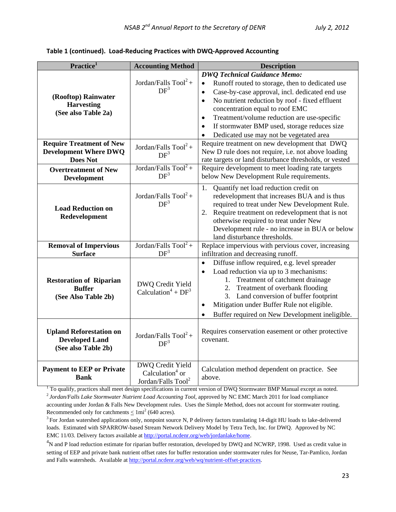|  | Table 1 (continued). Load-Reducing Practices with DWQ-Approved Accounting |  |  |
|--|---------------------------------------------------------------------------|--|--|
|--|---------------------------------------------------------------------------|--|--|

| Practice <sup>1</sup>                                                                                                            | <b>Accounting Method</b>                                                 | <b>Description</b>                                                                                                                                                                                                                                                                                                                                                                                                                                    |
|----------------------------------------------------------------------------------------------------------------------------------|--------------------------------------------------------------------------|-------------------------------------------------------------------------------------------------------------------------------------------------------------------------------------------------------------------------------------------------------------------------------------------------------------------------------------------------------------------------------------------------------------------------------------------------------|
| (Rooftop) Rainwater<br><b>Harvesting</b><br>(See also Table 2a)                                                                  | Jordan/Falls $Tool2 +$<br>DF <sup>3</sup>                                | <b>DWQ Technical Guidance Memo:</b><br>Runoff routed to storage, then to dedicated use<br>$\bullet$<br>Case-by-case approval, incl. dedicated end use<br>$\bullet$<br>No nutrient reduction by roof - fixed effluent<br>$\bullet$<br>concentration equal to roof EMC<br>Treatment/volume reduction are use-specific<br>$\bullet$<br>If stormwater BMP used, storage reduces size<br>$\bullet$<br>Dedicated use may not be vegetated area<br>$\bullet$ |
| <b>Require Treatment of New</b><br><b>Development Where DWQ</b><br><b>Does Not</b>                                               | Jordan/Falls $Tool2 +$<br>DF <sup>3</sup>                                | Require treatment on new development that DWQ<br>New D rule does not require, i.e. not above loading<br>rate targets or land disturbance thresholds, or vested                                                                                                                                                                                                                                                                                        |
| <b>Overtreatment of New</b><br><b>Development</b>                                                                                | Jordan/Falls $Tool2 +$<br>DF <sup>3</sup>                                | Require development to meet loading rate targets<br>below New Development Rule requirements.                                                                                                                                                                                                                                                                                                                                                          |
| <b>Load Reduction on</b><br>Redevelopment                                                                                        | Jordan/Falls $Tool2 +$<br>DF <sup>3</sup>                                | Quantify net load reduction credit on<br>1.<br>redevelopment that increases BUA and is thus<br>required to treat under New Development Rule.<br>Require treatment on redevelopment that is not<br>2.<br>otherwise required to treat under New<br>Development rule - no increase in BUA or below<br>land disturbance thresholds.                                                                                                                       |
| <b>Removal of Impervious</b><br><b>Surface</b>                                                                                   | Jordan/Falls $Too1^2 +$<br>DF <sup>3</sup>                               | Replace impervious with pervious cover, increasing<br>infiltration and decreasing runoff.                                                                                                                                                                                                                                                                                                                                                             |
| <b>Restoration of Riparian</b><br><b>Buffer</b><br>(See Also Table 2b)                                                           | DWQ Credit Yield<br>Calculation <sup>4</sup> + $DF^3$                    | Diffuse inflow required, e.g. level spreader<br>$\bullet$<br>Load reduction via up to 3 mechanisms:<br>$\bullet$<br>1. Treatment of catchment drainage<br>2. Treatment of overbank flooding<br>3. Land conversion of buffer footprint<br>Mitigation under Buffer Rule not eligible.<br>$\bullet$<br>Buffer required on New Development ineligible.                                                                                                    |
| <b>Upland Reforestation on</b><br><b>Developed Land</b><br>(See also Table 2b)                                                   | Jordan/Falls $Tool2 +$<br>DF <sup>3</sup>                                | Requires conservation easement or other protective<br>covenant.                                                                                                                                                                                                                                                                                                                                                                                       |
| <b>Payment to EEP or Private</b><br><b>Bank</b><br>$1\,\mathrm{T}_{\Omega}$ qualify programs shall meet decian specifications in | DWQ Credit Yield<br>Calculation $4$ or<br>Jordan/Falls Tool <sup>2</sup> | Calculation method dependent on practice. See<br>above.<br>ment version of DWO Stemmyster DMD Menuel executes noted                                                                                                                                                                                                                                                                                                                                   |

 $2$  Jordan/Falls Lake Stormwater Nutrient Load Accounting Tool, approved by NC EMC March 2011 for load compliance accounting under Jordan & Falls New Development rules. Uses the Simple Method, does not account for stormwater routing. Recommended only for catchments  $\leq 1$ mi<sup>2</sup> (640 acres).

<sup>3</sup> For Jordan watershed applications only, nonpoint source N, P delivery factors translating 14-digit HU loads to lake-delivered loads. Estimated with SPARROW-based Stream Network Delivery Model by Tetra Tech, Inc. for DWQ. Approved by NC EMC 11/03. Delivery factors available at http://portal.ncdenr.org/web/jordanlake/home. 4

 ${}^{4}N$  and P load reduction estimate for riparian buffer restoration, developed by DWQ and NCWRP, 1998. Used as credit value in setting of EEP and private bank nutrient offset rates for buffer restoration under stormwater rules for Neuse, Tar-Pamlico, Jordan and Falls watersheds. Available at http://portal.ncdenr.org/web/wq/nutrient-offset-practices.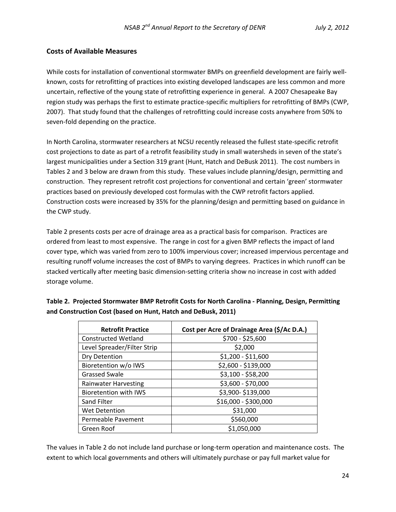#### **Costs of Available Measures**

While costs for installation of conventional stormwater BMPs on greenfield development are fairly wellknown, costs for retrofitting of practices into existing developed landscapes are less common and more uncertain, reflective of the young state of retrofitting experience in general. A 2007 Chesapeake Bay region study was perhaps the first to estimate practice‐specific multipliers for retrofitting of BMPs (CWP, 2007). That study found that the challenges of retrofitting could increase costs anywhere from 50% to seven-fold depending on the practice.

In North Carolina, stormwater researchers at NCSU recently released the fullest state‐specific retrofit cost projections to date as part of a retrofit feasibility study in small watersheds in seven of the state's largest municipalities under a Section 319 grant (Hunt, Hatch and DeBusk 2011). The cost numbers in Tables 2 and 3 below are drawn from this study. These values include planning/design, permitting and construction. They represent retrofit cost projections for conventional and certain 'green' stormwater practices based on previously developed cost formulas with the CWP retrofit factors applied. Construction costs were increased by 35% for the planning/design and permitting based on guidance in the CWP study.

Table 2 presents costs per acre of drainage area as a practical basis for comparison. Practices are ordered from least to most expensive. The range in cost for a given BMP reflects the impact of land cover type, which was varied from zero to 100% impervious cover; increased impervious percentage and resulting runoff volume increases the cost of BMPs to varying degrees. Practices in which runoff can be stacked vertically after meeting basic dimension‐setting criteria show no increase in cost with added storage volume.

| <b>Retrofit Practice</b>     | Cost per Acre of Drainage Area (\$/Ac D.A.) |
|------------------------------|---------------------------------------------|
| Constructed Wetland          | \$700 - \$25,600                            |
| Level Spreader/Filter Strip  | \$2,000                                     |
| Dry Detention                | \$1,200 - \$11,600                          |
| Bioretention w/o IWS         | \$2,600 - \$139,000                         |
| <b>Grassed Swale</b>         | \$3,100 - \$58,200                          |
| <b>Rainwater Harvesting</b>  | \$3,600 - \$70,000                          |
| <b>Bioretention with IWS</b> | \$3,900-\$139,000                           |
| Sand Filter                  | \$16,000 - \$300,000                        |
| Wet Detention                | \$31,000                                    |
| Permeable Pavement           | \$560,000                                   |
| Green Roof                   | \$1,050,000                                 |

**Table 2. Projected Stormwater BMP Retrofit Costs for North Carolina ‐ Planning, Design, Permitting and Construction Cost (based on Hunt, Hatch and DeBusk, 2011)**

The values in Table 2 do not include land purchase or long‐term operation and maintenance costs. The extent to which local governments and others will ultimately purchase or pay full market value for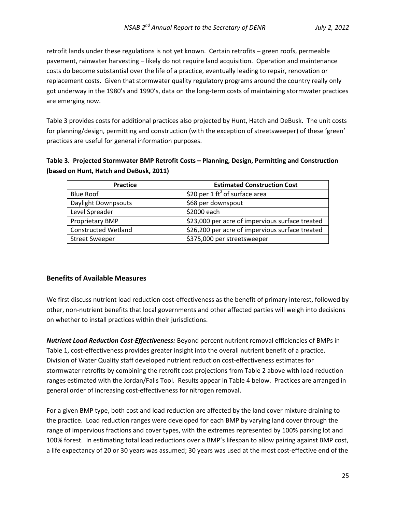retrofit lands under these regulations is not yet known. Certain retrofits – green roofs, permeable pavement, rainwater harvesting – likely do not require land acquisition. Operation and maintenance costs do become substantial over the life of a practice, eventually leading to repair, renovation or replacement costs. Given that stormwater quality regulatory programs around the country really only got underway in the 1980's and 1990's, data on the long‐term costs of maintaining stormwater practices are emerging now.

Table 3 provides costs for additional practices also projected by Hunt, Hatch and DeBusk. The unit costs for planning/design, permitting and construction (with the exception of streetsweeper) of these 'green' practices are useful for general information purposes.

### **Table 3. Projected Stormwater BMP Retrofit Costs – Planning, Design, Permitting and Construction (based on Hunt, Hatch and DeBusk, 2011)**

| <b>Practice</b>            | <b>Estimated Construction Cost</b>              |
|----------------------------|-------------------------------------------------|
| <b>Blue Roof</b>           | \$20 per 1 ft <sup>2</sup> of surface area      |
| Daylight Downpsouts        | \$68 per downspout                              |
| Level Spreader             | \$2000 each                                     |
| Proprietary BMP            | \$23,000 per acre of impervious surface treated |
| <b>Constructed Wetland</b> | \$26,200 per acre of impervious surface treated |
| <b>Street Sweeper</b>      | \$375,000 per streetsweeper                     |

#### **Benefits of Available Measures**

We first discuss nutrient load reduction cost-effectiveness as the benefit of primary interest, followed by other, non‐nutrient benefits that local governments and other affected parties will weigh into decisions on whether to install practices within their jurisdictions.

*Nutrient Load Reduction Cost‐Effectiveness:* Beyond percent nutrient removal efficiencies of BMPs in Table 1, cost-effectiveness provides greater insight into the overall nutrient benefit of a practice. Division of Water Quality staff developed nutrient reduction cost‐effectiveness estimates for stormwater retrofits by combining the retrofit cost projections from Table 2 above with load reduction ranges estimated with the Jordan/Falls Tool. Results appear in Table 4 below. Practices are arranged in general order of increasing cost‐effectiveness for nitrogen removal.

For a given BMP type, both cost and load reduction are affected by the land cover mixture draining to the practice. Load reduction ranges were developed for each BMP by varying land cover through the range of impervious fractions and cover types, with the extremes represented by 100% parking lot and 100% forest. In estimating total load reductions over a BMP's lifespan to allow pairing against BMP cost, a life expectancy of 20 or 30 years was assumed; 30 years was used at the most cost‐effective end of the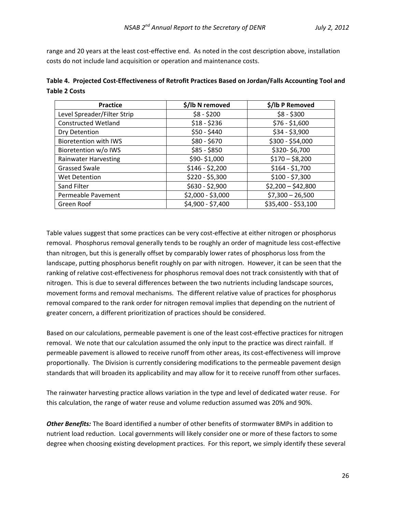range and 20 years at the least cost-effective end. As noted in the cost description above, installation costs do not include land acquisition or operation and maintenance costs.

| Table 4. Projected Cost-Effectiveness of Retrofit Practices Based on Jordan/Falls Accounting Tool and |  |
|-------------------------------------------------------------------------------------------------------|--|
| <b>Table 2 Costs</b>                                                                                  |  |

| Practice                     | \$/lb N removed   | \$/lb P Removed     |
|------------------------------|-------------------|---------------------|
| Level Spreader/Filter Strip  | $$8 - $200$       | $$8 - $300$         |
| <b>Constructed Wetland</b>   | $$18 - $236$      | $$76 - $1,600$      |
| Dry Detention                | $$50 - $440$      | $$34 - $3,900$      |
| <b>Bioretention with IWS</b> | $$80 - $670$      | \$300 - \$54,000    |
| Bioretention w/o IWS         | $$85 - $850$      | \$320-\$6,700       |
| <b>Rainwater Harvesting</b>  | \$90-\$1,000      | $$170 - $8,200$     |
| <b>Grassed Swale</b>         | $$146 - $2,200$   | $$164 - $1,700$     |
| <b>Wet Detention</b>         | $$220 - $5,300$   | $$100 - $7,300$     |
| Sand Filter                  | $$630 - $2,900$   | $$2,200 - $42,800$  |
| Permeable Pavement           | \$2,000 - \$3,000 | $$7,300 - 26,500$   |
| Green Roof                   | \$4,900 - \$7,400 | \$35,400 - \$53,100 |

Table values suggest that some practices can be very cost-effective at either nitrogen or phosphorus removal. Phosphorus removal generally tends to be roughly an order of magnitude less cost-effective than nitrogen, but this is generally offset by comparably lower rates of phosphorus loss from the landscape, putting phosphorus benefit roughly on par with nitrogen. However, it can be seen that the ranking of relative cost-effectiveness for phosphorus removal does not track consistently with that of nitrogen. This is due to several differences between the two nutrients including landscape sources, movement forms and removal mechanisms. The different relative value of practices for phosphorus removal compared to the rank order for nitrogen removal implies that depending on the nutrient of greater concern, a different prioritization of practices should be considered.

Based on our calculations, permeable pavement is one of the least cost‐effective practices for nitrogen removal. We note that our calculation assumed the only input to the practice was direct rainfall. If permeable pavement is allowed to receive runoff from other areas, its cost-effectiveness will improve proportionally. The Division is currently considering modifications to the permeable pavement design standards that will broaden its applicability and may allow for it to receive runoff from other surfaces.

The rainwater harvesting practice allows variation in the type and level of dedicated water reuse. For this calculation, the range of water reuse and volume reduction assumed was 20% and 90%.

*Other Benefits:* The Board identified a number of other benefits of stormwater BMPs in addition to nutrient load reduction. Local governments will likely consider one or more of these factors to some degree when choosing existing development practices. For this report, we simply identify these several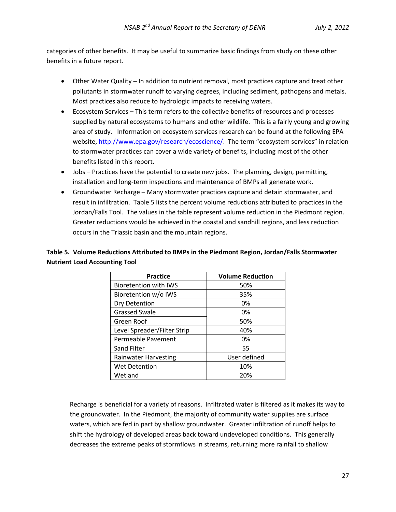categories of other benefits. It may be useful to summarize basic findings from study on these other benefits in a future report.

- Other Water Quality In addition to nutrient removal, most practices capture and treat other pollutants in stormwater runoff to varying degrees, including sediment, pathogens and metals. Most practices also reduce to hydrologic impacts to receiving waters.
- Ecosystem Services This term refers to the collective benefits of resources and processes supplied by natural ecosystems to humans and other wildlife. This is a fairly young and growing area of study. Information on ecosystem services research can be found at the following EPA website, http://www.epa.gov/research/ecoscience/. The term "ecosystem services" in relation to stormwater practices can cover a wide variety of benefits, including most of the other benefits listed in this report.
- Jobs Practices have the potential to create new jobs. The planning, design, permitting, installation and long‐term inspections and maintenance of BMPs all generate work.
- Groundwater Recharge Many stormwater practices capture and detain stormwater, and result in infiltration. Table 5 lists the percent volume reductions attributed to practices in the Jordan/Falls Tool. The values in the table represent volume reduction in the Piedmont region. Greater reductions would be achieved in the coastal and sandhill regions, and less reduction occurs in the Triassic basin and the mountain regions.

#### **Table 5. Volume Reductions Attributed to BMPs in the Piedmont Region, Jordan/Falls Stormwater Nutrient Load Accounting Tool**

| <b>Practice</b>              | <b>Volume Reduction</b> |
|------------------------------|-------------------------|
| <b>Bioretention with IWS</b> | 50%                     |
| Bioretention w/o IWS         | 35%                     |
| Dry Detention                | 0%                      |
| <b>Grassed Swale</b>         | 0%                      |
| Green Roof                   | 50%                     |
| Level Spreader/Filter Strip  | 40%                     |
| Permeable Pavement           | 0%                      |
| Sand Filter                  | 55                      |
| <b>Rainwater Harvesting</b>  | User defined            |
| <b>Wet Detention</b>         | 10%                     |
| Wetland                      | 20%                     |

Recharge is beneficial for a variety of reasons. Infiltrated water is filtered as it makes its way to the groundwater. In the Piedmont, the majority of community water supplies are surface waters, which are fed in part by shallow groundwater. Greater infiltration of runoff helps to shift the hydrology of developed areas back toward undeveloped conditions. This generally decreases the extreme peaks of stormflows in streams, returning more rainfall to shallow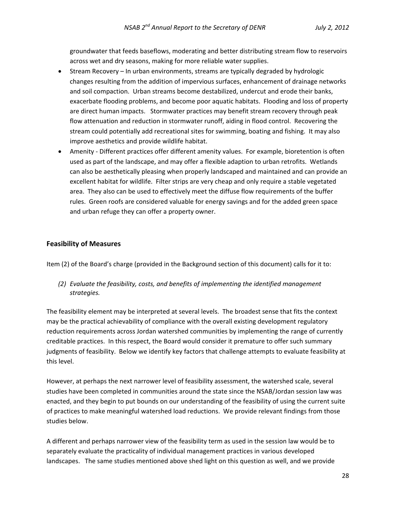groundwater that feeds baseflows, moderating and better distributing stream flow to reservoirs across wet and dry seasons, making for more reliable water supplies.

- Stream Recovery In urban environments, streams are typically degraded by hydrologic changes resulting from the addition of impervious surfaces, enhancement of drainage networks and soil compaction. Urban streams become destabilized, undercut and erode their banks, exacerbate flooding problems, and become poor aquatic habitats. Flooding and loss of property are direct human impacts. Stormwater practices may benefit stream recovery through peak flow attenuation and reduction in stormwater runoff, aiding in flood control. Recovering the stream could potentially add recreational sites for swimming, boating and fishing. It may also improve aesthetics and provide wildlife habitat.
- Amenity Different practices offer different amenity values. For example, bioretention is often used as part of the landscape, and may offer a flexible adaption to urban retrofits. Wetlands can also be aesthetically pleasing when properly landscaped and maintained and can provide an excellent habitat for wildlife. Filter strips are very cheap and only require a stable vegetated area. They also can be used to effectively meet the diffuse flow requirements of the buffer rules. Green roofs are considered valuable for energy savings and for the added green space and urban refuge they can offer a property owner.

#### **Feasibility of Measures**

Item (2) of the Board's charge (provided in the Background section of this document) calls for it to:

*(2) Evaluate the feasibility, costs, and benefits of implementing the identified management strategies.*

The feasibility element may be interpreted at several levels. The broadest sense that fits the context may be the practical achievability of compliance with the overall existing development regulatory reduction requirements across Jordan watershed communities by implementing the range of currently creditable practices. In this respect, the Board would consider it premature to offer such summary judgments of feasibility. Below we identify key factors that challenge attempts to evaluate feasibility at this level.

However, at perhaps the next narrower level of feasibility assessment, the watershed scale, several studies have been completed in communities around the state since the NSAB/Jordan session law was enacted, and they begin to put bounds on our understanding of the feasibility of using the current suite of practices to make meaningful watershed load reductions. We provide relevant findings from those studies below.

A different and perhaps narrower view of the feasibility term as used in the session law would be to separately evaluate the practicality of individual management practices in various developed landscapes. The same studies mentioned above shed light on this question as well, and we provide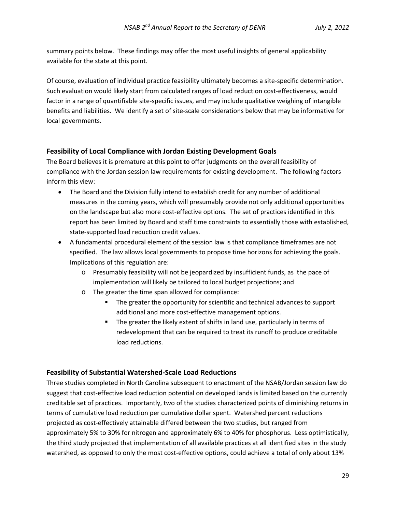summary points below. These findings may offer the most useful insights of general applicability available for the state at this point.

Of course, evaluation of individual practice feasibility ultimately becomes a site‐specific determination. Such evaluation would likely start from calculated ranges of load reduction cost‐effectiveness, would factor in a range of quantifiable site-specific issues, and may include qualitative weighing of intangible benefits and liabilities. We identify a set of site‐scale considerations below that may be informative for local governments.

#### **Feasibility of Local Compliance with Jordan Existing Development Goals**

The Board believes it is premature at this point to offer judgments on the overall feasibility of compliance with the Jordan session law requirements for existing development. The following factors inform this view:

- The Board and the Division fully intend to establish credit for any number of additional measures in the coming years, which will presumably provide not only additional opportunities on the landscape but also more cost‐effective options. The set of practices identified in this report has been limited by Board and staff time constraints to essentially those with established, state‐supported load reduction credit values.
- A fundamental procedural element of the session law is that compliance timeframes are not specified. The law allows local governments to propose time horizons for achieving the goals. Implications of this regulation are:
	- o Presumably feasibility will not be jeopardized by insufficient funds, as the pace of implementation will likely be tailored to local budget projections; and
	- o The greater the time span allowed for compliance:
		- **The greater the opportunity for scientific and technical advances to support** additional and more cost-effective management options.
		- The greater the likely extent of shifts in land use, particularly in terms of redevelopment that can be required to treat its runoff to produce creditable load reductions.

#### **Feasibility of Substantial Watershed‐Scale Load Reductions**

Three studies completed in North Carolina subsequent to enactment of the NSAB/Jordan session law do suggest that cost‐effective load reduction potential on developed lands is limited based on the currently creditable set of practices. Importantly, two of the studies characterized points of diminishing returns in terms of cumulative load reduction per cumulative dollar spent. Watershed percent reductions projected as cost‐effectively attainable differed between the two studies, but ranged from approximately 5% to 30% for nitrogen and approximately 6% to 40% for phosphorus. Less optimistically, the third study projected that implementation of all available practices at all identified sites in the study watershed, as opposed to only the most cost-effective options, could achieve a total of only about 13%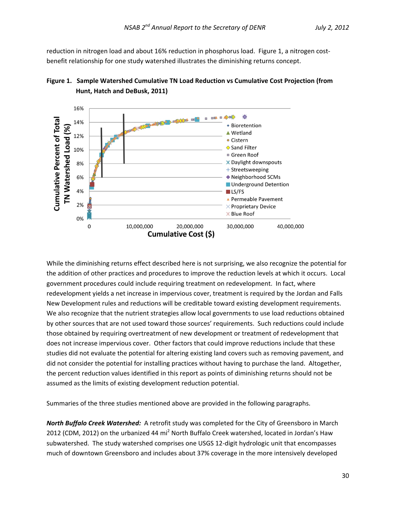reduction in nitrogen load and about 16% reduction in phosphorus load. Figure 1, a nitrogen costbenefit relationship for one study watershed illustrates the diminishing returns concept.





While the diminishing returns effect described here is not surprising, we also recognize the potential for the addition of other practices and procedures to improve the reduction levels at which it occurs. Local government procedures could include requiring treatment on redevelopment. In fact, where redevelopment yields a net increase in impervious cover, treatment is required by the Jordan and Falls New Development rules and reductions will be creditable toward existing development requirements. We also recognize that the nutrient strategies allow local governments to use load reductions obtained by other sources that are not used toward those sources' requirements. Such reductions could include those obtained by requiring overtreatment of new development or treatment of redevelopment that does not increase impervious cover. Other factors that could improve reductions include that these studies did not evaluate the potential for altering existing land covers such as removing pavement, and did not consider the potential for installing practices without having to purchase the land. Altogether, the percent reduction values identified in this report as points of diminishing returns should not be assumed as the limits of existing development reduction potential.

Summaries of the three studies mentioned above are provided in the following paragraphs.

*North Buffalo Creek Watershed:* A retrofit study was completed for the City of Greensboro in March 2012 (CDM, 2012) on the urbanized 44 mi<sup>2</sup> North Buffalo Creek watershed, located in Jordan's Haw subwatershed. The study watershed comprises one USGS 12‐digit hydrologic unit that encompasses much of downtown Greensboro and includes about 37% coverage in the more intensively developed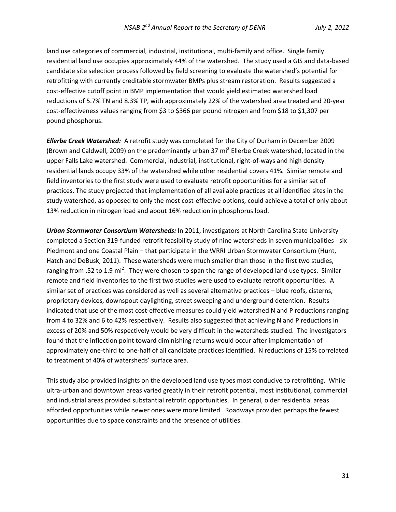land use categories of commercial, industrial, institutional, multi-family and office. Single family residential land use occupies approximately 44% of the watershed. The study used a GIS and data‐based candidate site selection process followed by field screening to evaluate the watershed's potential for retrofitting with currently creditable stormwater BMPs plus stream restoration. Results suggested a cost-effective cutoff point in BMP implementation that would yield estimated watershed load reductions of 5.7% TN and 8.3% TP, with approximately 22% of the watershed area treated and 20‐year cost‐effectiveness values ranging from \$3 to \$366 per pound nitrogen and from \$18 to \$1,307 per pound phosphorus.

*Ellerbe Creek Watershed:* A retrofit study was completed for the City of Durham in December 2009 (Brown and Caldwell, 2009) on the predominantly urban 37 mi<sup>2</sup> Ellerbe Creek watershed, located in the upper Falls Lake watershed. Commercial, industrial, institutional, right‐of‐ways and high density residential lands occupy 33% of the watershed while other residential covers 41%. Similar remote and field inventories to the first study were used to evaluate retrofit opportunities for a similar set of practices. The study projected that implementation of all available practices at all identified sites in the study watershed, as opposed to only the most cost-effective options, could achieve a total of only about 13% reduction in nitrogen load and about 16% reduction in phosphorus load.

*Urban Stormwater Consortium Watersheds:* In 2011, investigators at North Carolina State University completed a Section 319‐funded retrofit feasibility study of nine watersheds in seven municipalities ‐ six Piedmont and one Coastal Plain – that participate in the WRRI Urban Stormwater Consortium (Hunt, Hatch and DeBusk, 2011). These watersheds were much smaller than those in the first two studies, ranging from .52 to 1.9 mi<sup>2</sup>. They were chosen to span the range of developed land use types. Similar remote and field inventories to the first two studies were used to evaluate retrofit opportunities. A similar set of practices was considered as well as several alternative practices – blue roofs, cisterns, proprietary devices, downspout daylighting, street sweeping and underground detention. Results indicated that use of the most cost-effective measures could yield watershed N and P reductions ranging from 4 to 32% and 6 to 42% respectively. Results also suggested that achieving N and P reductions in excess of 20% and 50% respectively would be very difficult in the watersheds studied. The investigators found that the inflection point toward diminishing returns would occur after implementation of approximately one‐third to one‐half of all candidate practices identified. N reductions of 15% correlated to treatment of 40% of watersheds' surface area.

This study also provided insights on the developed land use types most conducive to retrofitting. While ultra‐urban and downtown areas varied greatly in their retrofit potential, most institutional, commercial and industrial areas provided substantial retrofit opportunities. In general, older residential areas afforded opportunities while newer ones were more limited. Roadways provided perhaps the fewest opportunities due to space constraints and the presence of utilities.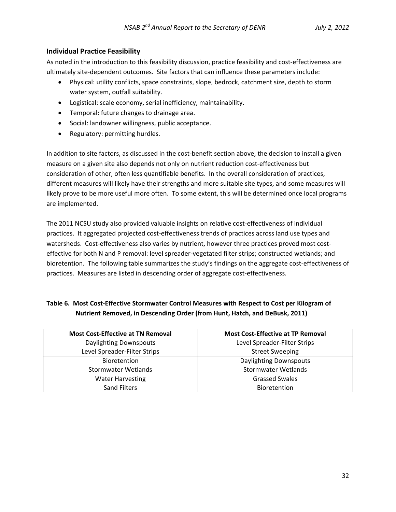#### **Individual Practice Feasibility**

As noted in the introduction to this feasibility discussion, practice feasibility and cost-effectiveness are ultimately site‐dependent outcomes. Site factors that can influence these parameters include:

- Physical: utility conflicts, space constraints, slope, bedrock, catchment size, depth to storm water system, outfall suitability.
- Logistical: scale economy, serial inefficiency, maintainability.
- Temporal: future changes to drainage area.
- Social: landowner willingness, public acceptance.
- Regulatory: permitting hurdles.

In addition to site factors, as discussed in the cost-benefit section above, the decision to install a given measure on a given site also depends not only on nutrient reduction cost-effectiveness but consideration of other, often less quantifiable benefits. In the overall consideration of practices, different measures will likely have their strengths and more suitable site types, and some measures will likely prove to be more useful more often. To some extent, this will be determined once local programs are implemented.

The 2011 NCSU study also provided valuable insights on relative cost-effectiveness of individual practices. It aggregated projected cost‐effectiveness trends of practices across land use types and watersheds. Cost-effectiveness also varies by nutrient, however three practices proved most costeffective for both N and P removal: level spreader‐vegetated filter strips; constructed wetlands; and bioretention. The following table summarizes the study's findings on the aggregate cost‐effectiveness of practices. Measures are listed in descending order of aggregate cost-effectiveness.

### **Table 6. Most Cost‐Effective Stormwater Control Measures with Respect to Cost per Kilogram of Nutrient Removed, in Descending Order (from Hunt, Hatch, and DeBusk, 2011)**

| <b>Most Cost-Effective at TN Removal</b> | <b>Most Cost-Effective at TP Removal</b> |
|------------------------------------------|------------------------------------------|
| <b>Daylighting Downspouts</b>            | Level Spreader-Filter Strips             |
| Level Spreader-Filter Strips             | <b>Street Sweeping</b>                   |
| <b>Bioretention</b>                      | <b>Daylighting Downspouts</b>            |
| Stormwater Wetlands                      | <b>Stormwater Wetlands</b>               |
| <b>Water Harvesting</b>                  | <b>Grassed Swales</b>                    |
| <b>Sand Filters</b>                      | <b>Bioretention</b>                      |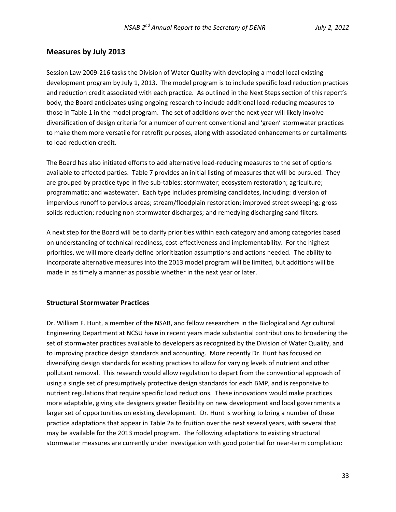#### **Measures by July 2013**

Session Law 2009‐216 tasks the Division of Water Quality with developing a model local existing development program by July 1, 2013. The model program is to include specific load reduction practices and reduction credit associated with each practice. As outlined in the Next Steps section of this report's body, the Board anticipates using ongoing research to include additional load‐reducing measures to those in Table 1 in the model program. The set of additions over the next year will likely involve diversification of design criteria for a number of current conventional and 'green' stormwater practices to make them more versatile for retrofit purposes, along with associated enhancements or curtailments to load reduction credit.

The Board has also initiated efforts to add alternative load‐reducing measures to the set of options available to affected parties. Table 7 provides an initial listing of measures that will be pursued. They are grouped by practice type in five sub-tables: stormwater; ecosystem restoration; agriculture; programmatic; and wastewater. Each type includes promising candidates, including: diversion of impervious runoff to pervious areas; stream/floodplain restoration; improved street sweeping; gross solids reduction; reducing non-stormwater discharges; and remedying discharging sand filters.

A next step for the Board will be to clarify priorities within each category and among categories based on understanding of technical readiness, cost-effectiveness and implementability. For the highest priorities, we will more clearly define prioritization assumptions and actions needed. The ability to incorporate alternative measures into the 2013 model program will be limited, but additions will be made in as timely a manner as possible whether in the next year or later.

#### **Structural Stormwater Practices**

Dr. William F. Hunt, a member of the NSAB, and fellow researchers in the Biological and Agricultural Engineering Department at NCSU have in recent years made substantial contributions to broadening the set of stormwater practices available to developers as recognized by the Division of Water Quality, and to improving practice design standards and accounting. More recently Dr. Hunt has focused on diversifying design standards for existing practices to allow for varying levels of nutrient and other pollutant removal. This research would allow regulation to depart from the conventional approach of using a single set of presumptively protective design standards for each BMP, and is responsive to nutrient regulations that require specific load reductions. These innovations would make practices more adaptable, giving site designers greater flexibility on new development and local governments a larger set of opportunities on existing development. Dr. Hunt is working to bring a number of these practice adaptations that appear in Table 2a to fruition over the next several years, with several that may be available for the 2013 model program. The following adaptations to existing structural stormwater measures are currently under investigation with good potential for near-term completion: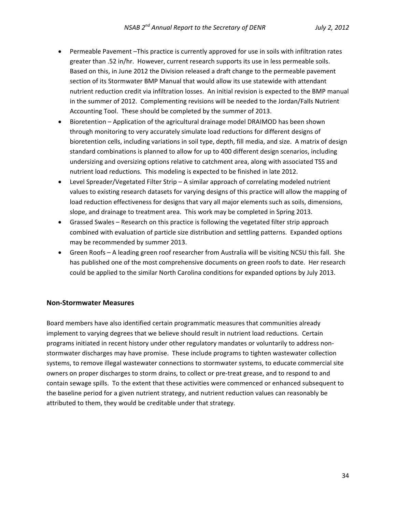- Permeable Pavement –This practice is currently approved for use in soils with infiltration rates greater than .52 in/hr. However, current research supports its use in less permeable soils. Based on this, in June 2012 the Division released a draft change to the permeable pavement section of its Stormwater BMP Manual that would allow its use statewide with attendant nutrient reduction credit via infiltration losses. An initial revision is expected to the BMP manual in the summer of 2012. Complementing revisions will be needed to the Jordan/Falls Nutrient Accounting Tool. These should be completed by the summer of 2013.
- Bioretention Application of the agricultural drainage model DRAIMOD has been shown through monitoring to very accurately simulate load reductions for different designs of bioretention cells, including variations in soil type, depth, fill media, and size. A matrix of design standard combinations is planned to allow for up to 400 different design scenarios, including undersizing and oversizing options relative to catchment area, along with associated TSS and nutrient load reductions. This modeling is expected to be finished in late 2012.
- Level Spreader/Vegetated Filter Strip A similar approach of correlating modeled nutrient values to existing research datasets for varying designs of this practice will allow the mapping of load reduction effectiveness for designs that vary all major elements such as soils, dimensions, slope, and drainage to treatment area. This work may be completed in Spring 2013.
- Grassed Swales Research on this practice is following the vegetated filter strip approach combined with evaluation of particle size distribution and settling patterns. Expanded options may be recommended by summer 2013.
- Green Roofs A leading green roof researcher from Australia will be visiting NCSU this fall. She has published one of the most comprehensive documents on green roofs to date. Her research could be applied to the similar North Carolina conditions for expanded options by July 2013.

#### **Non‐Stormwater Measures**

Board members have also identified certain programmatic measures that communities already implement to varying degrees that we believe should result in nutrient load reductions. Certain programs initiated in recent history under other regulatory mandates or voluntarily to address non‐ stormwater discharges may have promise. These include programs to tighten wastewater collection systems, to remove illegal wastewater connections to stormwater systems, to educate commercial site owners on proper discharges to storm drains, to collect or pre‐treat grease, and to respond to and contain sewage spills. To the extent that these activities were commenced or enhanced subsequent to the baseline period for a given nutrient strategy, and nutrient reduction values can reasonably be attributed to them, they would be creditable under that strategy.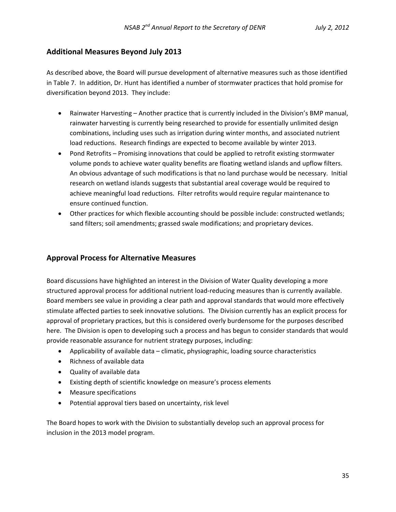#### **Additional Measures Beyond July 2013**

As described above, the Board will pursue development of alternative measures such as those identified in Table 7. In addition, Dr. Hunt has identified a number of stormwater practices that hold promise for diversification beyond 2013. They include:

- Rainwater Harvesting Another practice that is currently included in the Division's BMP manual, rainwater harvesting is currently being researched to provide for essentially unlimited design combinations, including uses such as irrigation during winter months, and associated nutrient load reductions. Research findings are expected to become available by winter 2013.
- Pond Retrofits Promising innovations that could be applied to retrofit existing stormwater volume ponds to achieve water quality benefits are floating wetland islands and upflow filters. An obvious advantage of such modifications is that no land purchase would be necessary. Initial research on wetland islands suggests that substantial areal coverage would be required to achieve meaningful load reductions. Filter retrofits would require regular maintenance to ensure continued function.
- Other practices for which flexible accounting should be possible include: constructed wetlands; sand filters; soil amendments; grassed swale modifications; and proprietary devices.

### **Approval Process for Alternative Measures**

Board discussions have highlighted an interest in the Division of Water Quality developing a more structured approval process for additional nutrient load‐reducing measures than is currently available. Board members see value in providing a clear path and approval standards that would more effectively stimulate affected parties to seek innovative solutions. The Division currently has an explicit process for approval of proprietary practices, but this is considered overly burdensome for the purposes described here. The Division is open to developing such a process and has begun to consider standards that would provide reasonable assurance for nutrient strategy purposes, including:

- Applicability of available data climatic, physiographic, loading source characteristics
- Richness of available data
- Quality of available data
- Existing depth of scientific knowledge on measure's process elements
- Measure specifications
- Potential approval tiers based on uncertainty, risk level

The Board hopes to work with the Division to substantially develop such an approval process for inclusion in the 2013 model program.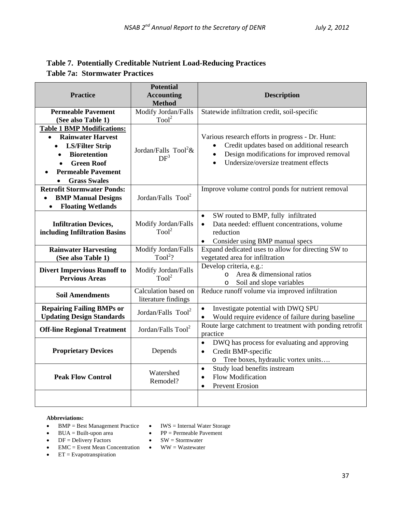### **Table 7. Potentially Creditable Nutrient Load-Reducing Practices Table 7a: Stormwater Practices**

| <b>Practice</b>                                                                                                                                                                                                           | <b>Potential</b><br><b>Accounting</b><br><b>Method</b> | <b>Description</b>                                                                                                                                                                                             |
|---------------------------------------------------------------------------------------------------------------------------------------------------------------------------------------------------------------------------|--------------------------------------------------------|----------------------------------------------------------------------------------------------------------------------------------------------------------------------------------------------------------------|
| <b>Permeable Pavement</b><br>(See also Table 1)                                                                                                                                                                           | Modify Jordan/Falls<br>$\text{Tool}^2$                 | Statewide infiltration credit, soil-specific                                                                                                                                                                   |
| <b>Table 1 BMP Modifications:</b><br>• Rainwater Harvest<br><b>LS/Filter Strip</b><br>$\bullet$<br><b>Bioretention</b><br>$\bullet$<br><b>Green Roof</b><br>$\bullet$<br><b>Permeable Pavement</b><br><b>Grass Swales</b> | Jordan/Falls Tool <sup>2</sup> &<br>DF <sup>3</sup>    | Various research efforts in progress - Dr. Hunt:<br>Credit updates based on additional research<br>$\bullet$<br>Design modifications for improved removal<br>Undersize/oversize treatment effects<br>$\bullet$ |
| <b>Retrofit Stormwater Ponds:</b><br><b>BMP Manual Designs</b><br>$\bullet$<br><b>Floating Wetlands</b><br>$\bullet$                                                                                                      | Jordan/Falls Tool <sup>2</sup>                         | Improve volume control ponds for nutrient removal                                                                                                                                                              |
| <b>Infiltration Devices,</b><br>including Infiltration Basins                                                                                                                                                             | Modify Jordan/Falls<br>T <sub>00</sub> l <sup>2</sup>  | SW routed to BMP, fully infiltrated<br>$\bullet$<br>Data needed: effluent concentrations, volume<br>$\bullet$<br>reduction<br>$\bullet$<br>Consider using BMP manual specs                                     |
| <b>Rainwater Harvesting</b><br>(See also Table 1)                                                                                                                                                                         | Modify Jordan/Falls<br>$Tool2$ ?                       | Expand dedicated uses to allow for directing SW to<br>vegetated area for infiltration                                                                                                                          |
| <b>Divert Impervious Runoff to</b><br><b>Pervious Areas</b>                                                                                                                                                               | Modify Jordan/Falls<br>Tool <sup>2</sup>               | Develop criteria, e.g.:<br>Area & dimensional ratios<br>$\Omega$<br>Soil and slope variables<br>O                                                                                                              |
| <b>Soil Amendments</b>                                                                                                                                                                                                    | Calculation based on<br>literature findings            | Reduce runoff volume via improved infiltration                                                                                                                                                                 |
| <b>Repairing Failing BMPs or</b><br><b>Updating Design Standards</b>                                                                                                                                                      | Jordan/Falls $Tool2$                                   | Investigate potential with DWQ SPU<br>$\bullet$<br>Would require evidence of failure during baseline                                                                                                           |
| <b>Off-line Regional Treatment</b>                                                                                                                                                                                        | Jordan/Falls Tool <sup>2</sup>                         | Route large catchment to treatment with ponding retrofit<br>practice                                                                                                                                           |
| <b>Proprietary Devices</b>                                                                                                                                                                                                | Depends                                                | DWQ has process for evaluating and approving<br>$\bullet$<br>Credit BMP-specific<br>$\bullet$<br>Tree boxes, hydraulic vortex units<br>$\circ$                                                                 |
| <b>Peak Flow Control</b>                                                                                                                                                                                                  | Watershed<br>Remodel?                                  | Study load benefits instream<br>$\bullet$<br>Flow Modification<br>$\bullet$<br><b>Prevent Erosion</b><br>$\bullet$                                                                                             |
|                                                                                                                                                                                                                           |                                                        |                                                                                                                                                                                                                |

#### **Abbreviations:**

- BMP = Best Management Practice IWS = Internal Water Storage
- BUA = Built-upon area PP = Permeable Pavement
	-
- $DF =$  Delivery Factors  $SW =$  Stormwater
- EMC = Event Mean Concentration WW = Wastewater
- $\bullet$  ET = Evapotranspiration

37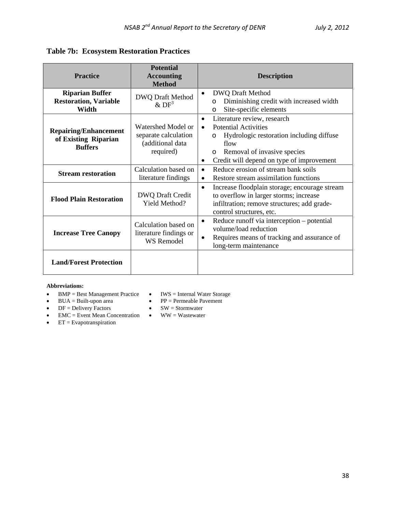## **Table 7b: Ecosystem Restoration Practices**

| <b>Practice</b>                                                        | <b>Potential</b><br><b>Accounting</b><br><b>Method</b>                      | <b>Description</b>                                                                                                                                                                                                                                      |
|------------------------------------------------------------------------|-----------------------------------------------------------------------------|---------------------------------------------------------------------------------------------------------------------------------------------------------------------------------------------------------------------------------------------------------|
| <b>Riparian Buffer</b><br><b>Restoration, Variable</b><br>Width        | <b>DWQ Draft Method</b><br>&DF <sup>3</sup>                                 | <b>DWQ Draft Method</b><br>$\bullet$<br>Diminishing credit with increased width<br>$\circ$<br>Site-specific elements<br>$\circ$                                                                                                                         |
| <b>Repairing/Enhancement</b><br>of Existing Riparian<br><b>Buffers</b> | Watershed Model or<br>separate calculation<br>(additional data<br>required) | Literature review, research<br>$\bullet$<br><b>Potential Activities</b><br>$\bullet$<br>Hydrologic restoration including diffuse<br>$\circ$<br>flow<br>Removal of invasive species<br>$\circ$<br>Credit will depend on type of improvement<br>$\bullet$ |
| <b>Stream restoration</b>                                              | Calculation based on<br>literature findings                                 | Reduce erosion of stream bank soils<br>$\bullet$<br>Restore stream assimilation functions<br>$\bullet$                                                                                                                                                  |
| <b>Flood Plain Restoration</b>                                         | DWQ Draft Credit<br>Yield Method?                                           | Increase floodplain storage; encourage stream<br>$\bullet$<br>to overflow in larger storms; increase<br>infiltration; remove structures; add grade-<br>control structures, etc.                                                                         |
| <b>Increase Tree Canopy</b>                                            | Calculation based on<br>literature findings or<br><b>WS Remodel</b>         | Reduce runoff via interception – potential<br>$\bullet$<br>volume/load reduction<br>Requires means of tracking and assurance of<br>$\bullet$<br>long-term maintenance                                                                                   |
| <b>Land/Forest Protection</b>                                          |                                                                             |                                                                                                                                                                                                                                                         |

#### **Abbreviations:**

- BMP = Best Management Practice IWS = Internal Water Storage
- 
- BUA = Built-upon area PP = Permeable Pavement
- $DF =$  Delivery Factors  $SW =$  Stormwater
- EMC = Event Mean Concentration WW = Wastewater
- $\bullet$  ET = Evapotranspiration
-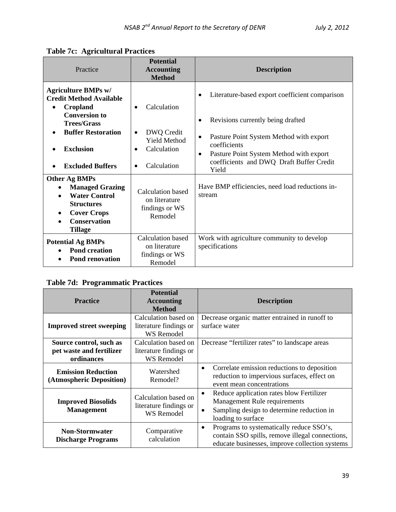| Practice                                                                                                                                                                                                                     | <b>Potential</b><br><b>Accounting</b><br><b>Method</b>                                                                             | <b>Description</b>                                                                                                                                                                                                                                                           |
|------------------------------------------------------------------------------------------------------------------------------------------------------------------------------------------------------------------------------|------------------------------------------------------------------------------------------------------------------------------------|------------------------------------------------------------------------------------------------------------------------------------------------------------------------------------------------------------------------------------------------------------------------------|
| <b>Agriculture BMPs w/</b><br><b>Credit Method Available</b><br>Cropland<br>$\bullet$<br><b>Conversion to</b><br><b>Trees/Grass</b><br><b>Buffer Restoration</b><br>$\bullet$<br><b>Exclusion</b><br><b>Excluded Buffers</b> | Calculation<br>$\bullet$<br>DWQ Credit<br>$\bullet$<br><b>Yield Method</b><br>Calculation<br>$\bullet$<br>Calculation<br>$\bullet$ | Literature-based export coefficient comparison<br>Revisions currently being drafted<br>$\bullet$<br>Pasture Point System Method with export<br>$\bullet$<br>coefficients<br>Pasture Point System Method with export<br>$\bullet$<br>coefficients and DWQ Draft Buffer Credit |
| Other Ag BMPs<br><b>Managed Grazing</b><br><b>Water Control</b><br><b>Structures</b><br><b>Cover Crops</b><br><b>Conservation</b><br><b>Tillage</b>                                                                          | <b>Calculation based</b><br>on literature<br>findings or WS<br>Remodel                                                             | Yield<br>Have BMP efficiencies, need load reductions in-<br>stream                                                                                                                                                                                                           |
| <b>Potential Ag BMPs</b><br><b>Pond creation</b><br><b>Pond renovation</b>                                                                                                                                                   | <b>Calculation based</b><br>on literature<br>findings or WS<br>Remodel                                                             | Work with agriculture community to develop<br>specifications                                                                                                                                                                                                                 |

## **Table 7d: Programmatic Practices**

| <b>Practice</b>                                                   | <b>Potential</b><br><b>Accounting</b><br><b>Method</b>              | <b>Description</b>                                                                                                                                         |
|-------------------------------------------------------------------|---------------------------------------------------------------------|------------------------------------------------------------------------------------------------------------------------------------------------------------|
| <b>Improved street sweeping</b>                                   | Calculation based on<br>literature findings or<br><b>WS Remodel</b> | Decrease organic matter entrained in runoff to<br>surface water                                                                                            |
| Source control, such as<br>pet waste and fertilizer<br>ordinances | Calculation based on<br>literature findings or<br><b>WS</b> Remodel | Decrease "fertilizer rates" to landscape areas                                                                                                             |
| <b>Emission Reduction</b><br>(Atmospheric Deposition)             | Watershed<br>Remodel?                                               | Correlate emission reductions to deposition<br>٠<br>reduction to impervious surfaces, effect on<br>event mean concentrations                               |
| <b>Improved Biosolids</b><br><b>Management</b>                    | Calculation based on<br>literature findings or<br><b>WS Remodel</b> | Reduce application rates blow Fertilizer<br>٠<br>Management Rule requirements<br>Sampling design to determine reduction in<br>٠<br>loading to surface      |
| <b>Non-Stormwater</b><br><b>Discharge Programs</b>                | Comparative<br>calculation                                          | Programs to systematically reduce SSO's,<br>$\bullet$<br>contain SSO spills, remove illegal connections,<br>educate businesses, improve collection systems |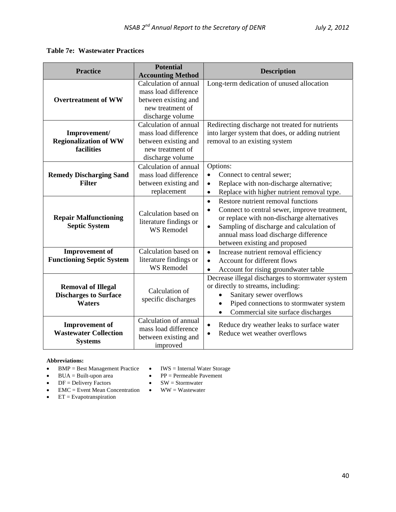### **Table 7e: Wastewater Practices**

| <b>Practice</b>                                                            | <b>Potential</b>                                                                  | <b>Description</b>                                                                                                                                                                                                                                                                            |
|----------------------------------------------------------------------------|-----------------------------------------------------------------------------------|-----------------------------------------------------------------------------------------------------------------------------------------------------------------------------------------------------------------------------------------------------------------------------------------------|
|                                                                            | <b>Accounting Method</b>                                                          |                                                                                                                                                                                                                                                                                               |
|                                                                            | Calculation of annual                                                             | Long-term dedication of unused allocation                                                                                                                                                                                                                                                     |
|                                                                            | mass load difference                                                              |                                                                                                                                                                                                                                                                                               |
| <b>Overtreatment of WW</b>                                                 | between existing and                                                              |                                                                                                                                                                                                                                                                                               |
|                                                                            | new treatment of                                                                  |                                                                                                                                                                                                                                                                                               |
|                                                                            | discharge volume                                                                  |                                                                                                                                                                                                                                                                                               |
|                                                                            | Calculation of annual                                                             | Redirecting discharge not treated for nutrients                                                                                                                                                                                                                                               |
| Improvement/                                                               | mass load difference                                                              | into larger system that does, or adding nutrient                                                                                                                                                                                                                                              |
| <b>Regionalization of WW</b>                                               | between existing and                                                              | removal to an existing system                                                                                                                                                                                                                                                                 |
| <b>facilities</b>                                                          | new treatment of                                                                  |                                                                                                                                                                                                                                                                                               |
|                                                                            | discharge volume                                                                  |                                                                                                                                                                                                                                                                                               |
|                                                                            | Calculation of annual                                                             | Options:                                                                                                                                                                                                                                                                                      |
| <b>Remedy Discharging Sand</b>                                             | mass load difference                                                              | Connect to central sewer;<br>$\bullet$                                                                                                                                                                                                                                                        |
| <b>Filter</b>                                                              | between existing and                                                              | Replace with non-discharge alternative;<br>$\bullet$                                                                                                                                                                                                                                          |
|                                                                            | replacement                                                                       | Replace with higher nutrient removal type.<br>$\bullet$                                                                                                                                                                                                                                       |
| <b>Repair Malfunctioning</b><br><b>Septic System</b>                       | Calculation based on<br>literature findings or<br><b>WS Remodel</b>               | Restore nutrient removal functions<br>$\bullet$<br>Connect to central sewer, improve treatment,<br>$\bullet$<br>or replace with non-discharge alternatives<br>Sampling of discharge and calculation of<br>$\bullet$<br>annual mass load discharge difference<br>between existing and proposed |
| <b>Improvement of</b>                                                      | Calculation based on                                                              | Increase nutrient removal efficiency<br>$\bullet$                                                                                                                                                                                                                                             |
| <b>Functioning Septic System</b>                                           | literature findings or                                                            | Account for different flows<br>$\bullet$                                                                                                                                                                                                                                                      |
|                                                                            | <b>WS Remodel</b>                                                                 | Account for rising groundwater table<br>$\bullet$                                                                                                                                                                                                                                             |
| <b>Removal of Illegal</b><br><b>Discharges to Surface</b><br><b>Waters</b> | Calculation of<br>specific discharges                                             | Decrease illegal discharges to stormwater system<br>or directly to streams, including:<br>Sanitary sewer overflows<br>Piped connections to stormwater system<br>Commercial site surface discharges<br>$\bullet$                                                                               |
| <b>Improvement</b> of<br><b>Wastewater Collection</b><br><b>Systems</b>    | Calculation of annual<br>mass load difference<br>between existing and<br>improved | Reduce dry weather leaks to surface water<br>$\bullet$<br>Reduce wet weather overflows<br>$\bullet$                                                                                                                                                                                           |

#### **Abbreviations:**

- BMP = Best Management Practice IWS = Internal Water Storage
- BUA = Built-upon area PP = Permeable Pavement
- $DF =$  Delivery Factors  $SW =$  Stormwater
	-
- EMC = Event Mean Concentration WW = Wastewater
- ET = Evapotranspiration
-